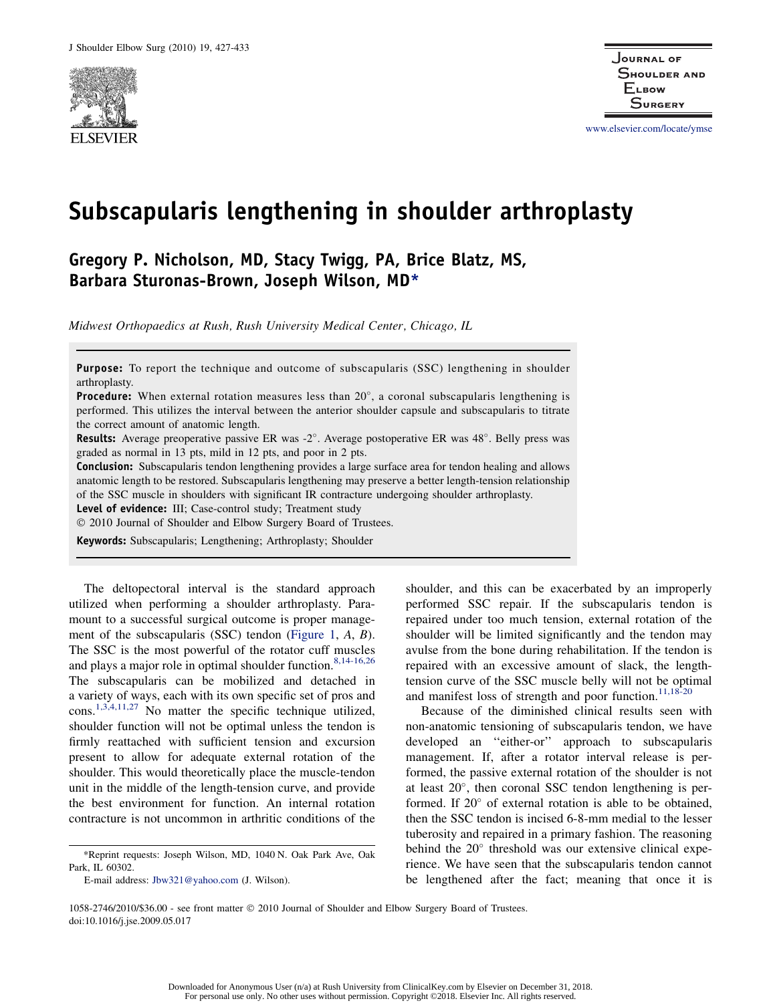

www.elsevier.com/locate/ymse

# Subscapularis lengthening in shoulder arthroplasty

# Gregory P. Nicholson, MD, Stacy Twigg, PA, Brice Blatz, MS, Barbara Sturonas-Brown, Joseph Wilson, MD\*

Midwest Orthopaedics at Rush, Rush University Medical Center, Chicago, IL

Purpose: To report the technique and outcome of subscapularis (SSC) lengthening in shoulder arthroplasty.

Procedure: When external rotation measures less than 20°, a coronal subscapularis lengthening is performed. This utilizes the interval between the anterior shoulder capsule and subscapularis to titrate the correct amount of anatomic length.

Results: Average preoperative passive ER was -2°. Average postoperative ER was 48°. Belly press was graded as normal in 13 pts, mild in 12 pts, and poor in 2 pts.

Conclusion: Subscapularis tendon lengthening provides a large surface area for tendon healing and allows anatomic length to be restored. Subscapularis lengthening may preserve a better length-tension relationship of the SSC muscle in shoulders with significant IR contracture undergoing shoulder arthroplasty.

Level of evidence: III; Case-control study; Treatment study

 $© 2010$  Journal of Shoulder and Elbow Surgery Board of Trustees.

Keywords: Subscapularis; Lengthening; Arthroplasty; Shoulder

The deltopectoral interval is the standard approach utilized when performing a shoulder arthroplasty. Paramount to a successful surgical outcome is proper management of the subscapularis (SSC) tendon (Figure 1, A, B). The SSC is the most powerful of the rotator cuff muscles and plays a major role in optimal shoulder function.  $8,14-16,26$ The subscapularis can be mobilized and detached in a variety of ways, each with its own specific set of pros and cons.1,3,4,11,27 No matter the specific technique utilized, shoulder function will not be optimal unless the tendon is firmly reattached with sufficient tension and excursion present to allow for adequate external rotation of the shoulder. This would theoretically place the muscle-tendon unit in the middle of the length-tension curve, and provide the best environment for function. An internal rotation contracture is not uncommon in arthritic conditions of the

shoulder, and this can be exacerbated by an improperly performed SSC repair. If the subscapularis tendon is repaired under too much tension, external rotation of the shoulder will be limited significantly and the tendon may avulse from the bone during rehabilitation. If the tendon is repaired with an excessive amount of slack, the lengthtension curve of the SSC muscle belly will not be optimal and manifest loss of strength and poor function. $11,18-20$ 

Because of the diminished clinical results seen with non-anatomic tensioning of subscapularis tendon, we have developed an ''either-or'' approach to subscapularis management. If, after a rotator interval release is performed, the passive external rotation of the shoulder is not at least 20°, then coronal SSC tendon lengthening is performed. If 20° of external rotation is able to be obtained, then the SSC tendon is incised 6-8-mm medial to the lesser tuberosity and repaired in a primary fashion. The reasoning behind the 20° threshold was our extensive clinical experience. We have seen that the subscapularis tendon cannot be lengthened after the fact; meaning that once it is

1058-2746/2010/\$36.00 - see front matter  $©$  2010 Journal of Shoulder and Elbow Surgery Board of Trustees. doi:10.1016/j.jse.2009.05.017

<sup>\*</sup>Reprint requests: Joseph Wilson, MD, 1040 N. Oak Park Ave, Oak Park, IL 60302.

E-mail address: Jbw321@yahoo.com (J. Wilson).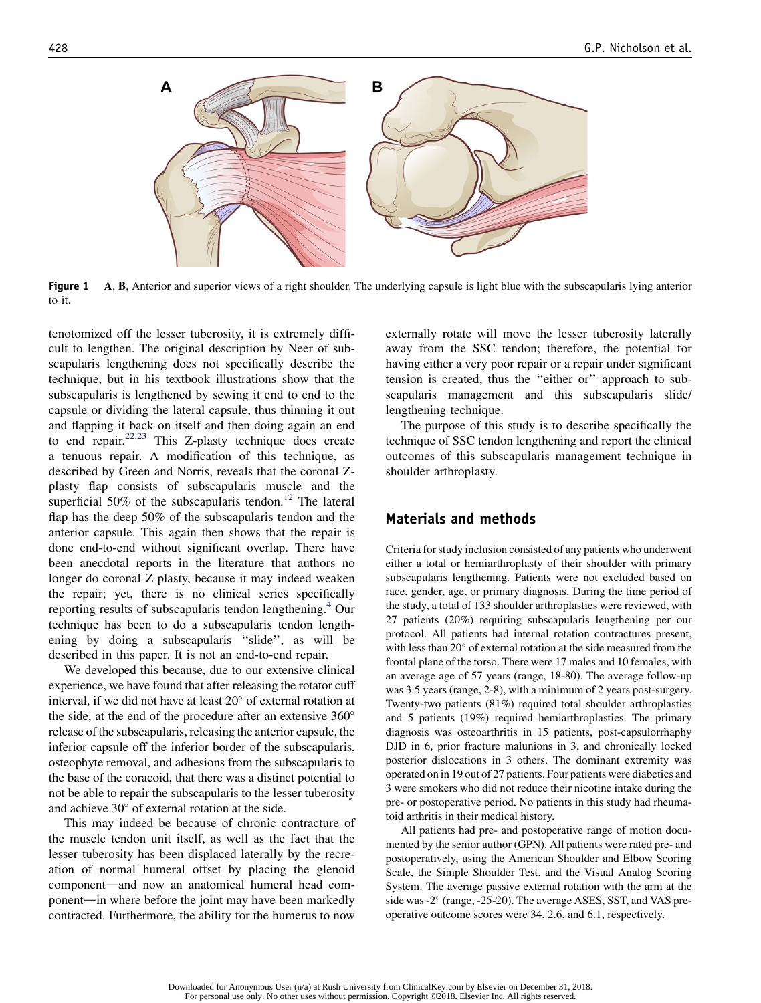

**Figure 1** A, B, Anterior and superior views of a right shoulder. The underlying capsule is light blue with the subscapularis lying anterior to it.

tenotomized off the lesser tuberosity, it is extremely difficult to lengthen. The original description by Neer of subscapularis lengthening does not specifically describe the technique, but in his textbook illustrations show that the subscapularis is lengthened by sewing it end to end to the capsule or dividing the lateral capsule, thus thinning it out and flapping it back on itself and then doing again an end to end repair. $22,23$  This Z-plasty technique does create a tenuous repair. A modification of this technique, as described by Green and Norris, reveals that the coronal Zplasty flap consists of subscapularis muscle and the superficial 50% of the subscapularis tendon.<sup>12</sup> The lateral flap has the deep 50% of the subscapularis tendon and the anterior capsule. This again then shows that the repair is done end-to-end without significant overlap. There have been anecdotal reports in the literature that authors no longer do coronal Z plasty, because it may indeed weaken the repair; yet, there is no clinical series specifically reporting results of subscapularis tendon lengthening.<sup>4</sup> Our technique has been to do a subscapularis tendon lengthening by doing a subscapularis ''slide'', as will be described in this paper. It is not an end-to-end repair.

We developed this because, due to our extensive clinical experience, we have found that after releasing the rotator cuff interval, if we did not have at least 20° of external rotation at the side, at the end of the procedure after an extensive  $360^{\circ}$ release of the subscapularis, releasing the anterior capsule, the inferior capsule off the inferior border of the subscapularis, osteophyte removal, and adhesions from the subscapularis to the base of the coracoid, that there was a distinct potential to not be able to repair the subscapularis to the lesser tuberosity and achieve  $30^{\circ}$  of external rotation at the side.

This may indeed be because of chronic contracture of the muscle tendon unit itself, as well as the fact that the lesser tuberosity has been displaced laterally by the recreation of normal humeral offset by placing the glenoid component—and now an anatomical humeral head component—in where before the joint may have been markedly contracted. Furthermore, the ability for the humerus to now

externally rotate will move the lesser tuberosity laterally away from the SSC tendon; therefore, the potential for having either a very poor repair or a repair under significant tension is created, thus the ''either or'' approach to subscapularis management and this subscapularis slide/ lengthening technique.

The purpose of this study is to describe specifically the technique of SSC tendon lengthening and report the clinical outcomes of this subscapularis management technique in shoulder arthroplasty.

#### Materials and methods

Criteria for study inclusion consisted of any patients who underwent either a total or hemiarthroplasty of their shoulder with primary subscapularis lengthening. Patients were not excluded based on race, gender, age, or primary diagnosis. During the time period of the study, a total of 133 shoulder arthroplasties were reviewed, with 27 patients (20%) requiring subscapularis lengthening per our protocol. All patients had internal rotation contractures present, with less than 20° of external rotation at the side measured from the frontal plane of the torso. There were 17 males and 10 females, with an average age of 57 years (range, 18-80). The average follow-up was 3.5 years (range, 2-8), with a minimum of 2 years post-surgery. Twenty-two patients (81%) required total shoulder arthroplasties and 5 patients (19%) required hemiarthroplasties. The primary diagnosis was osteoarthritis in 15 patients, post-capsulorrhaphy DJD in 6, prior fracture malunions in 3, and chronically locked posterior dislocations in 3 others. The dominant extremity was operated on in 19 out of 27 patients. Four patients were diabetics and 3 were smokers who did not reduce their nicotine intake during the pre- or postoperative period. No patients in this study had rheumatoid arthritis in their medical history.

All patients had pre- and postoperative range of motion documented by the senior author (GPN). All patients were rated pre- and postoperatively, using the American Shoulder and Elbow Scoring Scale, the Simple Shoulder Test, and the Visual Analog Scoring System. The average passive external rotation with the arm at the side was -2° (range, -25-20). The average ASES, SST, and VAS preoperative outcome scores were 34, 2.6, and 6.1, respectively.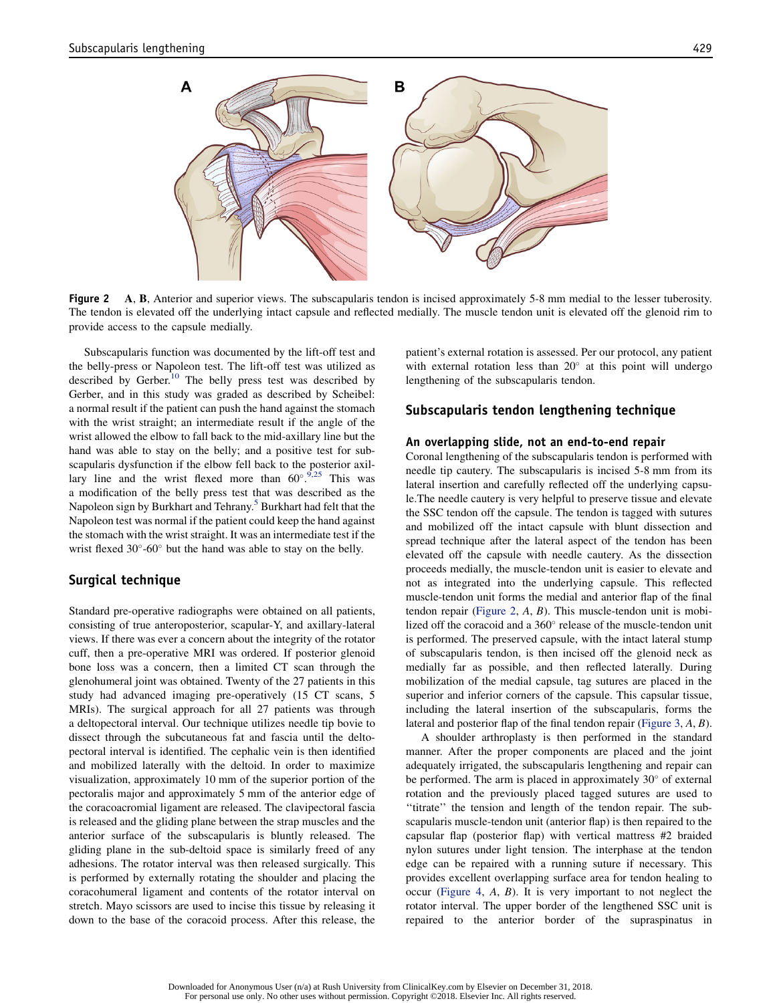

**Figure 2** A, B, Anterior and superior views. The subscapularis tendon is incised approximately 5-8 mm medial to the lesser tuberosity. The tendon is elevated off the underlying intact capsule and reflected medially. The muscle tendon unit is elevated off the glenoid rim to provide access to the capsule medially.

Subscapularis function was documented by the lift-off test and the belly-press or Napoleon test. The lift-off test was utilized as described by Gerber.<sup>10</sup> The belly press test was described by Gerber, and in this study was graded as described by Scheibel: a normal result if the patient can push the hand against the stomach with the wrist straight; an intermediate result if the angle of the wrist allowed the elbow to fall back to the mid-axillary line but the hand was able to stay on the belly; and a positive test for subscapularis dysfunction if the elbow fell back to the posterior axillary line and the wrist flexed more than  $60^{\circ}.^{9,25}$  This was a modification of the belly press test that was described as the Napoleon sign by Burkhart and Tehrany.<sup>5</sup> Burkhart had felt that the Napoleon test was normal if the patient could keep the hand against the stomach with the wrist straight. It was an intermediate test if the wrist flexed  $30^{\circ}$ -60 $^{\circ}$  but the hand was able to stay on the belly.

#### Surgical technique

Standard pre-operative radiographs were obtained on all patients, consisting of true anteroposterior, scapular-Y, and axillary-lateral views. If there was ever a concern about the integrity of the rotator cuff, then a pre-operative MRI was ordered. If posterior glenoid bone loss was a concern, then a limited CT scan through the glenohumeral joint was obtained. Twenty of the 27 patients in this study had advanced imaging pre-operatively (15 CT scans, 5 MRIs). The surgical approach for all 27 patients was through a deltopectoral interval. Our technique utilizes needle tip bovie to dissect through the subcutaneous fat and fascia until the deltopectoral interval is identified. The cephalic vein is then identified and mobilized laterally with the deltoid. In order to maximize visualization, approximately 10 mm of the superior portion of the pectoralis major and approximately 5 mm of the anterior edge of the coracoacromial ligament are released. The clavipectoral fascia is released and the gliding plane between the strap muscles and the anterior surface of the subscapularis is bluntly released. The gliding plane in the sub-deltoid space is similarly freed of any adhesions. The rotator interval was then released surgically. This is performed by externally rotating the shoulder and placing the coracohumeral ligament and contents of the rotator interval on stretch. Mayo scissors are used to incise this tissue by releasing it down to the base of the coracoid process. After this release, the patient's external rotation is assessed. Per our protocol, any patient with external rotation less than  $20^{\circ}$  at this point will undergo lengthening of the subscapularis tendon.

#### Subscapularis tendon lengthening technique

#### An overlapping slide, not an end-to-end repair

Coronal lengthening of the subscapularis tendon is performed with needle tip cautery. The subscapularis is incised 5-8 mm from its lateral insertion and carefully reflected off the underlying capsule.The needle cautery is very helpful to preserve tissue and elevate the SSC tendon off the capsule. The tendon is tagged with sutures and mobilized off the intact capsule with blunt dissection and spread technique after the lateral aspect of the tendon has been elevated off the capsule with needle cautery. As the dissection proceeds medially, the muscle-tendon unit is easier to elevate and not as integrated into the underlying capsule. This reflected muscle-tendon unit forms the medial and anterior flap of the final tendon repair (Figure 2,  $A$ ,  $B$ ). This muscle-tendon unit is mobilized off the coracoid and a 360° release of the muscle-tendon unit is performed. The preserved capsule, with the intact lateral stump of subscapularis tendon, is then incised off the glenoid neck as medially far as possible, and then reflected laterally. During mobilization of the medial capsule, tag sutures are placed in the superior and inferior corners of the capsule. This capsular tissue, including the lateral insertion of the subscapularis, forms the lateral and posterior flap of the final tendon repair (Figure 3, A, B).

A shoulder arthroplasty is then performed in the standard manner. After the proper components are placed and the joint adequately irrigated, the subscapularis lengthening and repair can be performed. The arm is placed in approximately 30° of external rotation and the previously placed tagged sutures are used to ''titrate'' the tension and length of the tendon repair. The subscapularis muscle-tendon unit (anterior flap) is then repaired to the capsular flap (posterior flap) with vertical mattress #2 braided nylon sutures under light tension. The interphase at the tendon edge can be repaired with a running suture if necessary. This provides excellent overlapping surface area for tendon healing to occur (Figure 4, A, B). It is very important to not neglect the rotator interval. The upper border of the lengthened SSC unit is repaired to the anterior border of the supraspinatus in

Downloaded for Anonymous User (n/a) at Rush University from ClinicalKey.com by Elsevier on December 31, 2018. For personal use only. No other uses without permission. Copyright ©2018. Elsevier Inc. All rights reserved.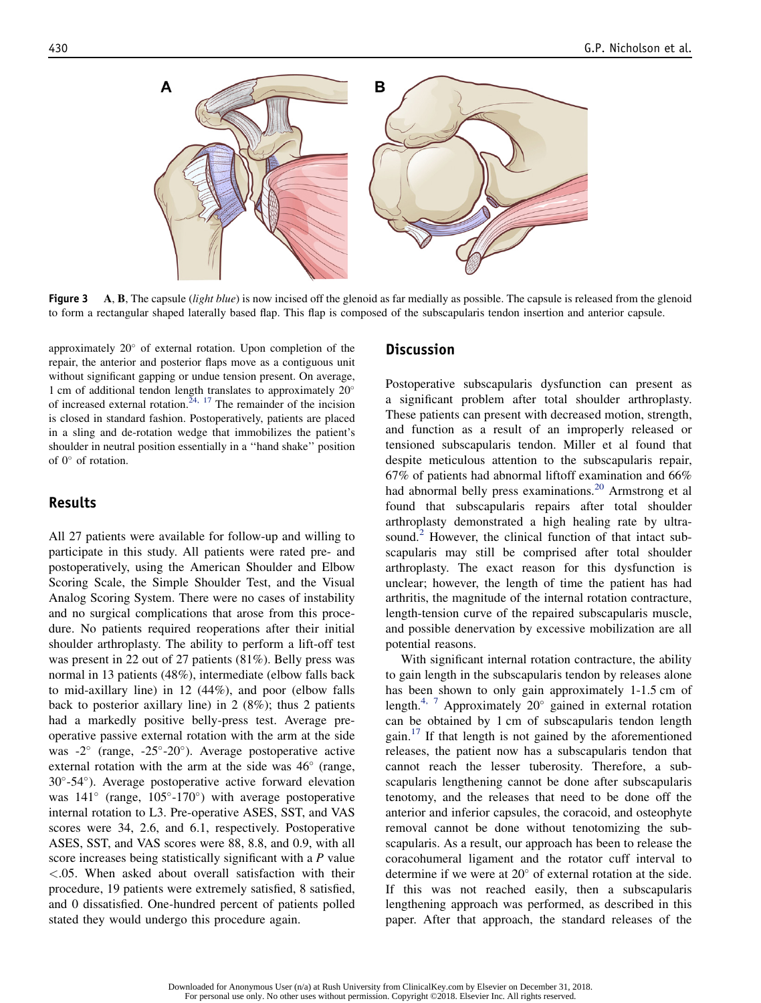

Figure 3 A, B, The capsule (light blue) is now incised off the glenoid as far medially as possible. The capsule is released from the glenoid to form a rectangular shaped laterally based flap. This flap is composed of the subscapularis tendon insertion and anterior capsule.

approximately 20° of external rotation. Upon completion of the repair, the anterior and posterior flaps move as a contiguous unit without significant gapping or undue tension present. On average, 1 cm of additional tendon length translates to approximately 20 of increased external rotation.<sup>24, 17</sup> The remainder of the incision is closed in standard fashion. Postoperatively, patients are placed in a sling and de-rotation wedge that immobilizes the patient's shoulder in neutral position essentially in a ''hand shake'' position of  $0^{\circ}$  of rotation.

#### Results

All 27 patients were available for follow-up and willing to participate in this study. All patients were rated pre- and postoperatively, using the American Shoulder and Elbow Scoring Scale, the Simple Shoulder Test, and the Visual Analog Scoring System. There were no cases of instability and no surgical complications that arose from this procedure. No patients required reoperations after their initial shoulder arthroplasty. The ability to perform a lift-off test was present in 22 out of 27 patients (81%). Belly press was normal in 13 patients (48%), intermediate (elbow falls back to mid-axillary line) in 12 (44%), and poor (elbow falls back to posterior axillary line) in 2 (8%); thus 2 patients had a markedly positive belly-press test. Average preoperative passive external rotation with the arm at the side was -2° (range, -25°-20°). Average postoperative active external rotation with the arm at the side was  $46^{\circ}$  (range, 30°-54°). Average postoperative active forward elevation was  $141^\circ$  (range,  $105^\circ$ -170°) with average postoperative internal rotation to L3. Pre-operative ASES, SST, and VAS scores were 34, 2.6, and 6.1, respectively. Postoperative ASES, SST, and VAS scores were 88, 8.8, and 0.9, with all score increases being statistically significant with a P value <.05. When asked about overall satisfaction with their procedure, 19 patients were extremely satisfied, 8 satisfied, and 0 dissatisfied. One-hundred percent of patients polled stated they would undergo this procedure again.

#### **Discussion**

Postoperative subscapularis dysfunction can present as a significant problem after total shoulder arthroplasty. These patients can present with decreased motion, strength, and function as a result of an improperly released or tensioned subscapularis tendon. Miller et al found that despite meticulous attention to the subscapularis repair, 67% of patients had abnormal liftoff examination and 66% had abnormal belly press examinations.<sup>20</sup> Armstrong et al found that subscapularis repairs after total shoulder arthroplasty demonstrated a high healing rate by ultrasound.<sup>2</sup> However, the clinical function of that intact subscapularis may still be comprised after total shoulder arthroplasty. The exact reason for this dysfunction is unclear; however, the length of time the patient has had arthritis, the magnitude of the internal rotation contracture, length-tension curve of the repaired subscapularis muscle, and possible denervation by excessive mobilization are all potential reasons.

With significant internal rotation contracture, the ability to gain length in the subscapularis tendon by releases alone has been shown to only gain approximately 1-1.5 cm of length.<sup>4, 7</sup> Approximately 20 $^{\circ}$  gained in external rotation can be obtained by 1 cm of subscapularis tendon length gain.<sup>17</sup> If that length is not gained by the aforementioned releases, the patient now has a subscapularis tendon that cannot reach the lesser tuberosity. Therefore, a subscapularis lengthening cannot be done after subscapularis tenotomy, and the releases that need to be done off the anterior and inferior capsules, the coracoid, and osteophyte removal cannot be done without tenotomizing the subscapularis. As a result, our approach has been to release the coracohumeral ligament and the rotator cuff interval to determine if we were at  $20^{\circ}$  of external rotation at the side. If this was not reached easily, then a subscapularis lengthening approach was performed, as described in this paper. After that approach, the standard releases of the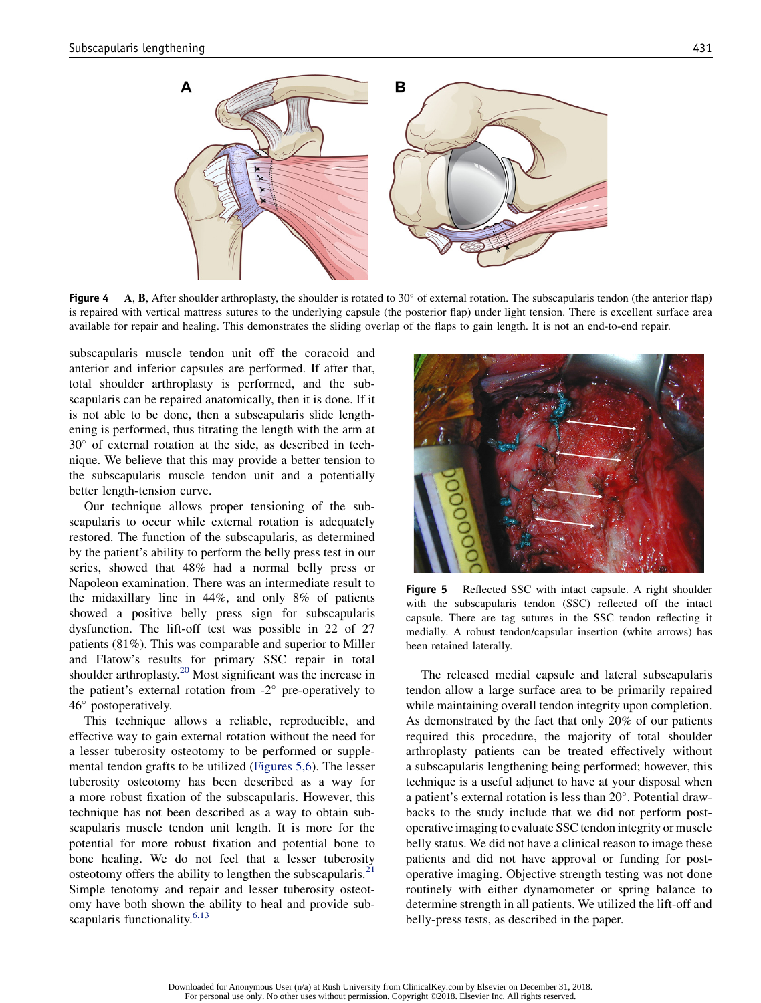

Figure 4 A, B, After shoulder arthroplasty, the shoulder is rotated to  $30^{\circ}$  of external rotation. The subscapularis tendon (the anterior flap) is repaired with vertical mattress sutures to the underlying capsule (the posterior flap) under light tension. There is excellent surface area available for repair and healing. This demonstrates the sliding overlap of the flaps to gain length. It is not an end-to-end repair.

subscapularis muscle tendon unit off the coracoid and anterior and inferior capsules are performed. If after that, total shoulder arthroplasty is performed, and the subscapularis can be repaired anatomically, then it is done. If it is not able to be done, then a subscapularis slide lengthening is performed, thus titrating the length with the arm at  $30^{\circ}$  of external rotation at the side, as described in technique. We believe that this may provide a better tension to the subscapularis muscle tendon unit and a potentially better length-tension curve.

Our technique allows proper tensioning of the subscapularis to occur while external rotation is adequately restored. The function of the subscapularis, as determined by the patient's ability to perform the belly press test in our series, showed that 48% had a normal belly press or Napoleon examination. There was an intermediate result to the midaxillary line in 44%, and only 8% of patients showed a positive belly press sign for subscapularis dysfunction. The lift-off test was possible in 22 of 27 patients (81%). This was comparable and superior to Miller and Flatow's results for primary SSC repair in total shoulder arthroplasty.<sup>20</sup> Most significant was the increase in the patient's external rotation from  $-2^{\circ}$  pre-operatively to 46° postoperatively.

This technique allows a reliable, reproducible, and effective way to gain external rotation without the need for a lesser tuberosity osteotomy to be performed or supplemental tendon grafts to be utilized (Figures 5,6). The lesser tuberosity osteotomy has been described as a way for a more robust fixation of the subscapularis. However, this technique has not been described as a way to obtain subscapularis muscle tendon unit length. It is more for the potential for more robust fixation and potential bone to bone healing. We do not feel that a lesser tuberosity osteotomy offers the ability to lengthen the subscapularis. $21$ Simple tenotomy and repair and lesser tuberosity osteotomy have both shown the ability to heal and provide subscapularis functionality. $6,13$ 



Figure 5 Reflected SSC with intact capsule. A right shoulder with the subscapularis tendon (SSC) reflected off the intact capsule. There are tag sutures in the SSC tendon reflecting it medially. A robust tendon/capsular insertion (white arrows) has been retained laterally.

The released medial capsule and lateral subscapularis tendon allow a large surface area to be primarily repaired while maintaining overall tendon integrity upon completion. As demonstrated by the fact that only 20% of our patients required this procedure, the majority of total shoulder arthroplasty patients can be treated effectively without a subscapularis lengthening being performed; however, this technique is a useful adjunct to have at your disposal when a patient's external rotation is less than 20°. Potential drawbacks to the study include that we did not perform postoperative imaging to evaluate SSC tendon integrity or muscle belly status. We did not have a clinical reason to image these patients and did not have approval or funding for postoperative imaging. Objective strength testing was not done routinely with either dynamometer or spring balance to determine strength in all patients. We utilized the lift-off and belly-press tests, as described in the paper.

Downloaded for Anonymous User (n/a) at Rush University from ClinicalKey.com by Elsevier on December 31, 2018. For personal use only. No other uses without permission. Copyright ©2018. Elsevier Inc. All rights reserved.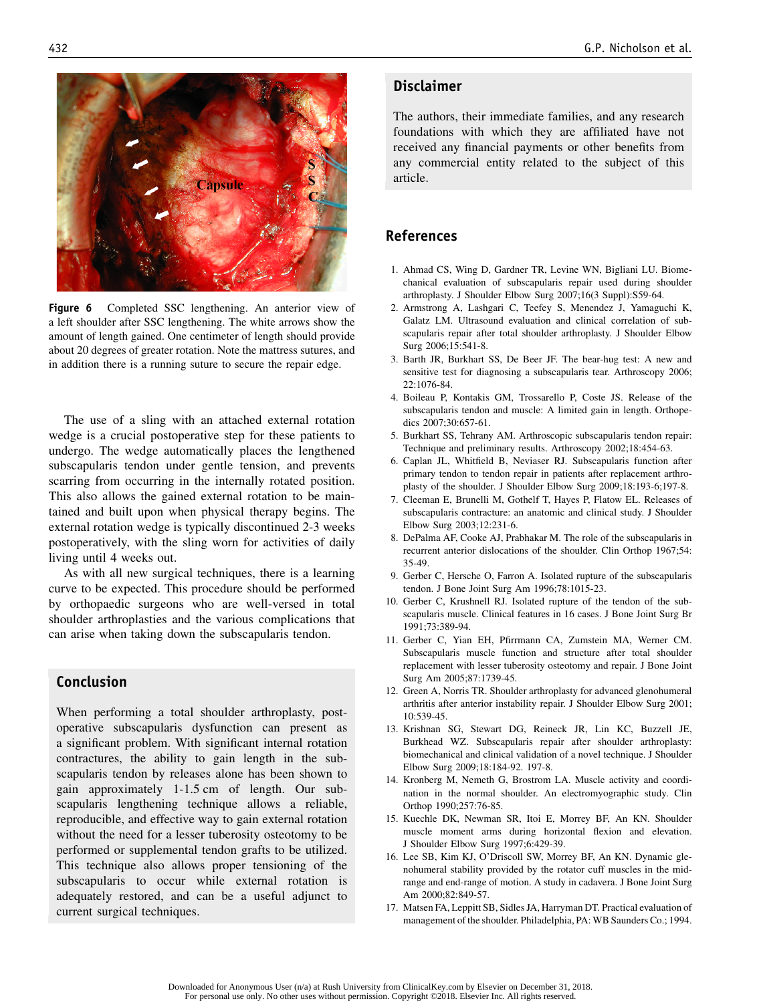

Figure 6 Completed SSC lengthening. An anterior view of a left shoulder after SSC lengthening. The white arrows show the amount of length gained. One centimeter of length should provide about 20 degrees of greater rotation. Note the mattress sutures, and in addition there is a running suture to secure the repair edge.

The use of a sling with an attached external rotation wedge is a crucial postoperative step for these patients to undergo. The wedge automatically places the lengthened subscapularis tendon under gentle tension, and prevents scarring from occurring in the internally rotated position. This also allows the gained external rotation to be maintained and built upon when physical therapy begins. The external rotation wedge is typically discontinued 2-3 weeks postoperatively, with the sling worn for activities of daily living until 4 weeks out.

As with all new surgical techniques, there is a learning curve to be expected. This procedure should be performed by orthopaedic surgeons who are well-versed in total shoulder arthroplasties and the various complications that can arise when taking down the subscapularis tendon.

## Conclusion

When performing a total shoulder arthroplasty, postoperative subscapularis dysfunction can present as a significant problem. With significant internal rotation contractures, the ability to gain length in the subscapularis tendon by releases alone has been shown to gain approximately 1-1.5 cm of length. Our subscapularis lengthening technique allows a reliable, reproducible, and effective way to gain external rotation without the need for a lesser tuberosity osteotomy to be performed or supplemental tendon grafts to be utilized. This technique also allows proper tensioning of the subscapularis to occur while external rotation is adequately restored, and can be a useful adjunct to current surgical techniques.

## Disclaimer

The authors, their immediate families, and any research foundations with which they are affiliated have not received any financial payments or other benefits from any commercial entity related to the subject of this article.

#### References

- 1. Ahmad CS, Wing D, Gardner TR, Levine WN, Bigliani LU. Biomechanical evaluation of subscapularis repair used during shoulder arthroplasty. J Shoulder Elbow Surg 2007;16(3 Suppl):S59-64.
- 2. Armstrong A, Lashgari C, Teefey S, Menendez J, Yamaguchi K, Galatz LM. Ultrasound evaluation and clinical correlation of subscapularis repair after total shoulder arthroplasty. J Shoulder Elbow Surg 2006;15:541-8.
- 3. Barth JR, Burkhart SS, De Beer JF. The bear-hug test: A new and sensitive test for diagnosing a subscapularis tear. Arthroscopy 2006;  $22:1076-84.$
- 4. Boileau P, Kontakis GM, Trossarello P, Coste JS. Release of the subscapularis tendon and muscle: A limited gain in length. Orthopedics 2007;30:657-61.
- 5. Burkhart SS, Tehrany AM. Arthroscopic subscapularis tendon repair: Technique and preliminary results. Arthroscopy 2002;18:454-63.
- 6. Caplan JL, Whitfield B, Neviaser RJ. Subscapularis function after primary tendon to tendon repair in patients after replacement arthroplasty of the shoulder. J Shoulder Elbow Surg 2009;18:193-6;197-8.
- 7. Cleeman E, Brunelli M, Gothelf T, Hayes P, Flatow EL. Releases of subscapularis contracture: an anatomic and clinical study. J Shoulder Elbow Surg 2003;12:231-6.
- 8. DePalma AF, Cooke AJ, Prabhakar M. The role of the subscapularis in recurrent anterior dislocations of the shoulder. Clin Orthop 1967;54: 35-49.
- 9. Gerber C, Hersche O, Farron A. Isolated rupture of the subscapularis tendon. J Bone Joint Surg Am 1996;78:1015-23.
- 10. Gerber C, Krushnell RJ. Isolated rupture of the tendon of the subscapularis muscle. Clinical features in 16 cases. J Bone Joint Surg Br 1991;73:389-94.
- 11. Gerber C, Yian EH, Pfirrmann CA, Zumstein MA, Werner CM. Subscapularis muscle function and structure after total shoulder replacement with lesser tuberosity osteotomy and repair. J Bone Joint Surg Am 2005;87:1739-45.
- 12. Green A, Norris TR. Shoulder arthroplasty for advanced glenohumeral arthritis after anterior instability repair. J Shoulder Elbow Surg 2001; 10:539-45.
- 13. Krishnan SG, Stewart DG, Reineck JR, Lin KC, Buzzell JE, Burkhead WZ. Subscapularis repair after shoulder arthroplasty: biomechanical and clinical validation of a novel technique. J Shoulder Elbow Surg 2009;18:184-92. 197-8.
- 14. Kronberg M, Nemeth G, Brostrom LA. Muscle activity and coordination in the normal shoulder. An electromyographic study. Clin Orthop 1990;257:76-85.
- 15. Kuechle DK, Newman SR, Itoi E, Morrey BF, An KN. Shoulder muscle moment arms during horizontal flexion and elevation. J Shoulder Elbow Surg 1997;6:429-39.
- 16. Lee SB, Kim KJ, O'Driscoll SW, Morrey BF, An KN. Dynamic glenohumeral stability provided by the rotator cuff muscles in the midrange and end-range of motion. A study in cadavera. J Bone Joint Surg Am 2000;82:849-57.
- 17. Matsen FA, Leppitt SB, Sidles JA, Harryman DT. Practical evaluation of management of the shoulder. Philadelphia, PA: WB Saunders Co.; 1994.